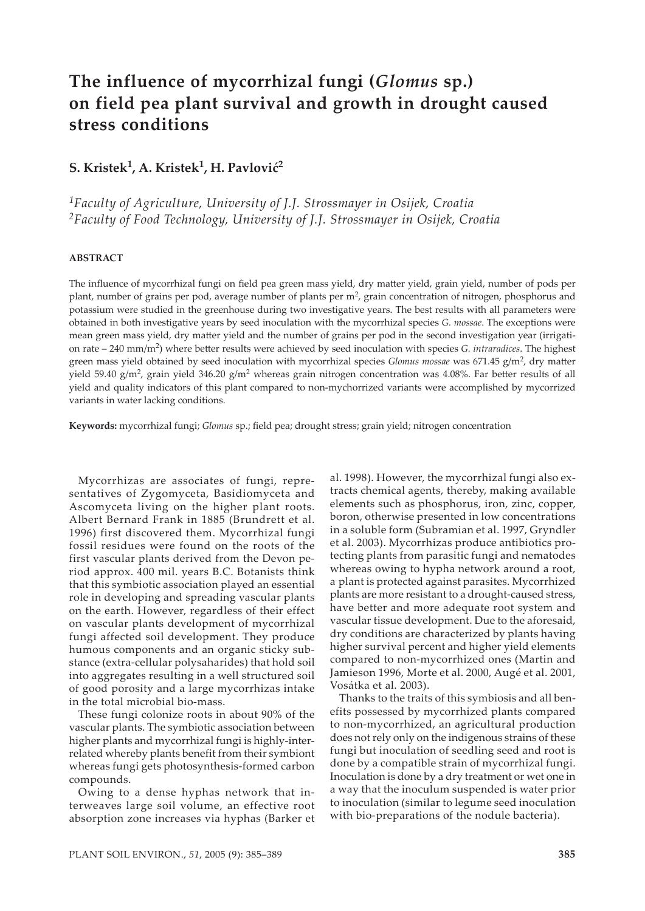# **The influence of mycorrhizal fungi (***Glomus* **sp.) on field pea plant survival and growth in drought caused stress conditions**

## **S. Kristek1, A. Kristek1, H. Pavlović2**

*1Faculty of Agriculture, University of J.J. Strossmayer in Osijek, Croatia 2Faculty of Food Technology, University of J.J. Strossmayer in Osijek, Croatia*

## **ABSTRACT**

The influence of mycorrhizal fungi on field pea green mass yield, dry matter yield, grain yield, number of pods per plant, number of grains per pod, average number of plants per m<sup>2</sup>, grain concentration of nitrogen, phosphorus and potassium were studied in the greenhouse during two investigative years. The best results with all parameters were obtained in both investigative years by seed inoculation with the mycorrhizal species *G. mossae*. The exceptions were mean green mass yield, dry matter yield and the number of grains per pod in the second investigation year (irrigation rate – 240 mm/m2) where be�er results were achieved by seed inoculation with species *G. intraradices*. The highest green mass yield obtained by seed inoculation with mycorrhizal species *Glomus mossae* was 671.45 g/m<sup>2</sup>, dry matter yield 59.40 g/m<sup>2</sup>, grain yield 346.20 g/m<sup>2</sup> whereas grain nitrogen concentration was 4.08%. Far better results of all yield and quality indicators of this plant compared to non-mychorrized variants were accomplished by mycorrized variants in water lacking conditions.

**Keywords:** mycorrhizal fungi; *Glomus* sp.; field pea; drought stress; grain yield; nitrogen concentration

Mycorrhizas are associates of fungi, representatives of Zygomyceta, Basidiomyceta and Ascomyceta living on the higher plant roots. Albert Bernard Frank in 1885 (Brundrett et al. 1996) first discovered them. Mycorrhizal fungi fossil residues were found on the roots of the first vascular plants derived from the Devon period approx. 400 mil. years B.C. Botanists think that this symbiotic association played an essential role in developing and spreading vascular plants on the earth. However, regardless of their effect on vascular plants development of mycorrhizal fungi affected soil development. They produce humous components and an organic sticky substance (extra-cellular polysaharides) that hold soil into aggregates resulting in a well structured soil of good porosity and a large mycorrhizas intake in the total microbial bio-mass.

These fungi colonize roots in about 90% of the vascular plants. The symbiotic association between higher plants and mycorrhizal fungi is highly-interrelated whereby plants benefit from their symbiont whereas fungi gets photosynthesis-formed carbon compounds.

Owing to a dense hyphas network that interweaves large soil volume, an effective root absorption zone increases via hyphas (Barker et

al. 1998). However, the mycorrhizal fungi also extracts chemical agents, thereby, making available elements such as phosphorus, iron, zinc, copper, boron, otherwise presented in low concentrations in a soluble form (Subramian et al. 1997, Gryndler et al. 2003). Mycorrhizas produce antibiotics protecting plants from parasitic fungi and nematodes whereas owing to hypha network around a root, a plant is protected against parasites. Mycorrhized plants are more resistant to a drought-caused stress, have better and more adequate root system and vascular tissue development. Due to the aforesaid, dry conditions are characterized by plants having higher survival percent and higher yield elements compared to non-mycorrhized ones (Martin and Jamieson 1996, Morte et al. 2000, Augé et al. 2001, Vosátka et al. 2003).

Thanks to the traits of this symbiosis and all benefits possessed by mycorrhized plants compared to non-mycorrhized, an agricultural production does not rely only on the indigenous strains of these fungi but inoculation of seedling seed and root is done by a compatible strain of mycorrhizal fungi. Inoculation is done by a dry treatment or wet one in a way that the inoculum suspended is water prior to inoculation (similar to legume seed inoculation with bio-preparations of the nodule bacteria).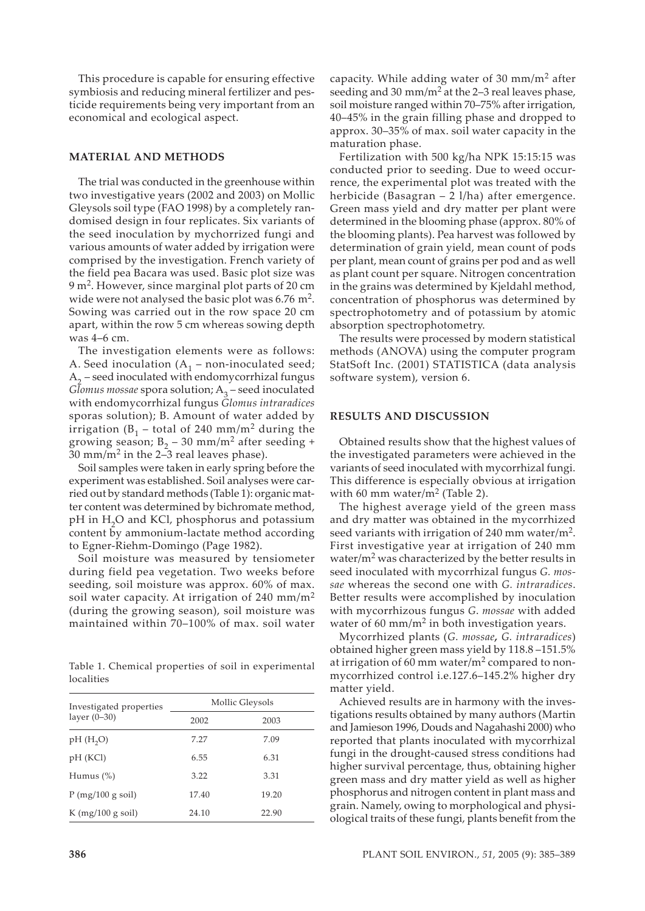This procedure is capable for ensuring effective symbiosis and reducing mineral fertilizer and pesticide requirements being very important from an economical and ecological aspect.

#### **MATERIAL AND METHODS**

The trial was conducted in the greenhouse within two investigative years (2002 and 2003) on Mollic Gleysols soil type (FAO 1998) by a completely randomised design in four replicates. Six variants of the seed inoculation by mychorrized fungi and various amounts of water added by irrigation were comprised by the investigation. French variety of the field pea Bacara was used. Basic plot size was  $9 \text{ m}^2$ . However, since marginal plot parts of 20 cm wide were not analysed the basic plot was  $6.76$  m<sup>2</sup>. Sowing was carried out in the row space 20 cm apart, within the row 5 cm whereas sowing depth was 4–6 cm.

The investigation elements were as follows: A. Seed inoculation  $(A_1 - non-inoculated seed;$  $A<sub>2</sub>$  – seed inoculated with endomy corrhizal fungus *Glomus mossae* spora solution;  $A_3$  – seed inoculated with endomycorrhizal fungus *Glomus intraradices* sporas solution); B. Amount of water added by irrigation ( $B_1$  – total of 240 mm/m<sup>2</sup> during the growing season;  $B_2 - 30$  mm/m<sup>2</sup> after seeding + 30 mm/m<sup>2</sup> in the 2–3 real leaves phase).

Soil samples were taken in early spring before the experiment was established. Soil analyses were carried out by standard methods (Table 1): organic matter content was determined by bichromate method, pH in H<sub>2</sub>O and KCl, phosphorus and potassium content by ammonium-lactate method according to Egner-Riehm-Domingo (Page 1982).

Soil moisture was measured by tensiometer during field pea vegetation. Two weeks before seeding, soil moisture was approx. 60% of max. soil water capacity. At irrigation of 240 mm/m<sup>2</sup> (during the growing season), soil moisture was maintained within 70–100% of max. soil water

Table 1. Chemical properties of soil in experimental localities

| Investigated properties | Mollic Gleysols |       |  |  |  |
|-------------------------|-----------------|-------|--|--|--|
| layer $(0-30)$          | 2002<br>2003    |       |  |  |  |
| pH(H, O)                | 7.27            | 7.09  |  |  |  |
| pH (KCI)                | 6.55            | 6.31  |  |  |  |
| Humus $(\%)$            | 3.22            | 3.31  |  |  |  |
| P(mg/100 g soil)        | 17.40           | 19.20 |  |  |  |
| K $(mg/100 g soil)$     | 24.10           | 22.90 |  |  |  |

capacity. While adding water of 30 mm/m2 after seeding and 30 mm/m<sup>2</sup> at the 2–3 real leaves phase, soil moisture ranged within 70–75% after irrigation, 40–45% in the grain filling phase and dropped to approx. 30–35% of max. soil water capacity in the maturation phase.

Fertilization with 500 kg/ha NPK 15:15:15 was conducted prior to seeding. Due to weed occurrence, the experimental plot was treated with the herbicide (Basagran – 2 l/ha) after emergence. Green mass yield and dry matter per plant were determined in the blooming phase (approx. 80% of the blooming plants). Pea harvest was followed by determination of grain yield, mean count of pods per plant, mean count of grains per pod and as well as plant count per square. Nitrogen concentration in the grains was determined by Kjeldahl method, concentration of phosphorus was determined by spectrophotometry and of potassium by atomic absorption spectrophotometry.

The results were processed by modern statistical methods (ANOVA) using the computer program StatSoft Inc. (2001) STATISTICA (data analysis software system), version 6.

#### **RESULTS AND DISCUSSION**

Obtained results show that the highest values of the investigated parameters were achieved in the variants of seed inoculated with mycorrhizal fungi. This difference is especially obvious at irrigation with 60 mm water/ $m<sup>2</sup>$  (Table 2).

The highest average yield of the green mass and dry matter was obtained in the mycorrhized seed variants with irrigation of 240 mm water/ $m<sup>2</sup>$ . First investigative year at irrigation of 240 mm water/ $m<sup>2</sup>$  was characterized by the better results in seed inoculated with mycorrhizal fungus *G. mossae* whereas the second one with *G. intraradices*. Better results were accomplished by inoculation with mycorrhizous fungus *G*. *mossae* with added water of 60 mm/m<sup>2</sup> in both investigation years.

Mycorrhized plants (*G. mossae, G. intraradices*) obtained higher green mass yield by 118.8 –151.5% at irrigation of 60 mm water/ $m<sup>2</sup>$  compared to nonmycorrhized control i.e.127.6–145.2% higher dry matter yield.

Achieved results are in harmony with the investigations results obtained by many authors (Martin and Jamieson 1996, Douds and Nagahashi 2000) who reported that plants inoculated with mycorrhizal fungi in the drought-caused stress conditions had higher survival percentage, thus, obtaining higher green mass and dry ma�er yield as well as higher phosphorus and nitrogen content in plant mass and grain. Namely, owing to morphological and physiological traits of these fungi, plants benefit from the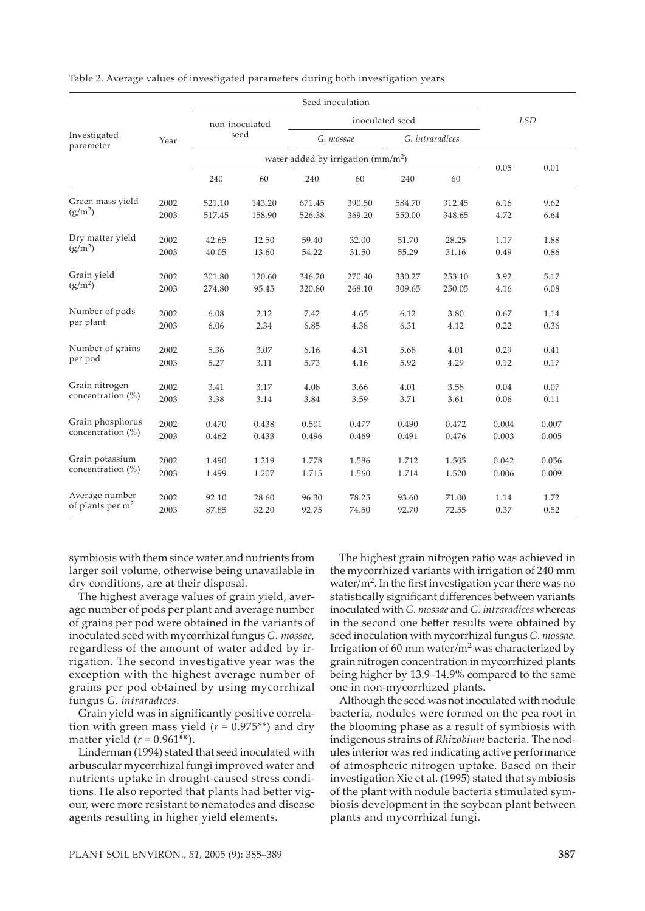| Investigated<br>parameter             | Year | Seed inoculation                    |        |                 |           |        |                 |            |       |
|---------------------------------------|------|-------------------------------------|--------|-----------------|-----------|--------|-----------------|------------|-------|
|                                       |      | non-inoculated<br>seed              |        | inoculated seed |           |        |                 | <b>LSD</b> |       |
|                                       |      |                                     |        |                 | G. mossae |        | G. intraradices |            |       |
|                                       |      | water added by irrigation $(mm/m2)$ |        |                 |           |        |                 |            |       |
|                                       |      | 240                                 | 60     | 240             | 60        | 240    | 60              | 0.05       | 0.01  |
| Green mass yield<br>$(g/m^2)$         | 2002 | 521.10                              | 143.20 | 671.45          | 390.50    | 584.70 | 312.45          | 6.16       | 9.62  |
|                                       | 2003 | 517.45                              | 158.90 | 526.38          | 369.20    | 550.00 | 348.65          | 4.72       | 6.64  |
| Dry matter yield<br>$(g/m^2)$         | 2002 | 42.65                               | 12.50  | 59.40           | 32.00     | 51.70  | 28.25           | 1.17       | 1.88  |
|                                       | 2003 | 40.05                               | 13.60  | 54.22           | 31.50     | 55.29  | 31.16           | 0.49       | 0.86  |
| Grain yield<br>$(g/m^2)$              | 2002 | 301.80                              | 120.60 | 346.20          | 270.40    | 330.27 | 253.10          | 3.92       | 5.17  |
|                                       | 2003 | 274.80                              | 95.45  | 320.80          | 268.10    | 309.65 | 250.05          | 4.16       | 6.08  |
| Number of pods<br>per plant           | 2002 | 6.08                                | 2.12   | 7.42            | 4.65      | 6.12   | 3.80            | 0.67       | 1.14  |
|                                       | 2003 | 6.06                                | 2.34   | 6.85            | 4.38      | 6.31   | 4.12            | 0.22       | 0.36  |
| Number of grains<br>per pod           | 2002 | 5.36                                | 3.07   | 6.16            | 4.31      | 5.68   | 4.01            | 0.29       | 0.41  |
|                                       | 2003 | 5.27                                | 3.11   | 5.73            | 4.16      | 5.92   | 4.29            | 0.12       | 0.17  |
| Grain nitrogen<br>concentration (%)   | 2002 | 3.41                                | 3.17   | 4.08            | 3.66      | 4.01   | 3.58            | 0.04       | 0.07  |
|                                       | 2003 | 3.38                                | 3.14   | 3.84            | 3.59      | 3.71   | 3.61            | 0.06       | 0.11  |
| Grain phosphorus<br>concentration (%) | 2002 | 0.470                               | 0.438  | 0.501           | 0.477     | 0.490  | 0.472           | 0.004      | 0.007 |
|                                       | 2003 | 0.462                               | 0.433  | 0.496           | 0.469     | 0.491  | 0.476           | 0.003      | 0.005 |
| Grain potassium<br>concentration (%)  | 2002 | 1.490                               | 1.219  | 1.778           | 1.586     | 1.712  | 1.505           | 0.042      | 0.056 |
|                                       | 2003 | 1.499                               | 1.207  | 1.715           | 1.560     | 1.714  | 1.520           | 0.006      | 0.009 |
| Average number<br>of plants per $m2$  | 2002 | 92.10                               | 28.60  | 96.30           | 78.25     | 93.60  | 71.00           | 1.14       | 1.72  |
|                                       | 2003 | 87.85                               | 32.20  | 92.75           | 74.50     | 92.70  | 72.55           | 0.37       | 0.52  |

Table 2. Average values of investigated parameters during both investigation years

symbiosis with them since water and nutrients from larger soil volume, otherwise being unavailable in dry conditions, are at their disposal.

The highest average values of grain yield, average number of pods per plant and average number of grains per pod were obtained in the variants of inoculated seed with mycorrhizal fungus *G. mossae,* regardless of the amount of water added by irrigation. The second investigative year was the exception with the highest average number of grains per pod obtained by using mycorrhizal fungus *G. intraradices*.

Grain yield was in significantly positive correlation with green mass yield ( $r = 0.975**$ ) and dry matter yield  $(r = 0.961^{**})$ .

Linderman (1994) stated that seed inoculated with arbuscular mycorrhizal fungi improved water and nutrients uptake in drought-caused stress conditions. He also reported that plants had better vigour, were more resistant to nematodes and disease agents resulting in higher yield elements.

The highest grain nitrogen ratio was achieved in the mycorrhized variants with irrigation of 240 mm water/ $m<sup>2</sup>$ . In the first investigation year there was no statistically significant differences between variants inoculated with *G. mossae* and *G. intraradices* whereas in the second one better results were obtained by seed inoculation with mycorrhizal fungus *G. mossae*. Irrigation of 60 mm water/ $m<sup>2</sup>$  was characterized by grain nitrogen concentration in mycorrhized plants being higher by 13.9–14.9% compared to the same one in non-mycorrhized plants.

Although the seed was not inoculated with nodule bacteria, nodules were formed on the pea root in the blooming phase as a result of symbiosis with indigenous strains of *Rhizobium* bacteria. The nodules interior was red indicating active performance of atmospheric nitrogen uptake. Based on their investigation Xie et al. (1995) stated that symbiosis of the plant with nodule bacteria stimulated symbiosis development in the soybean plant between plants and mycorrhizal fungi.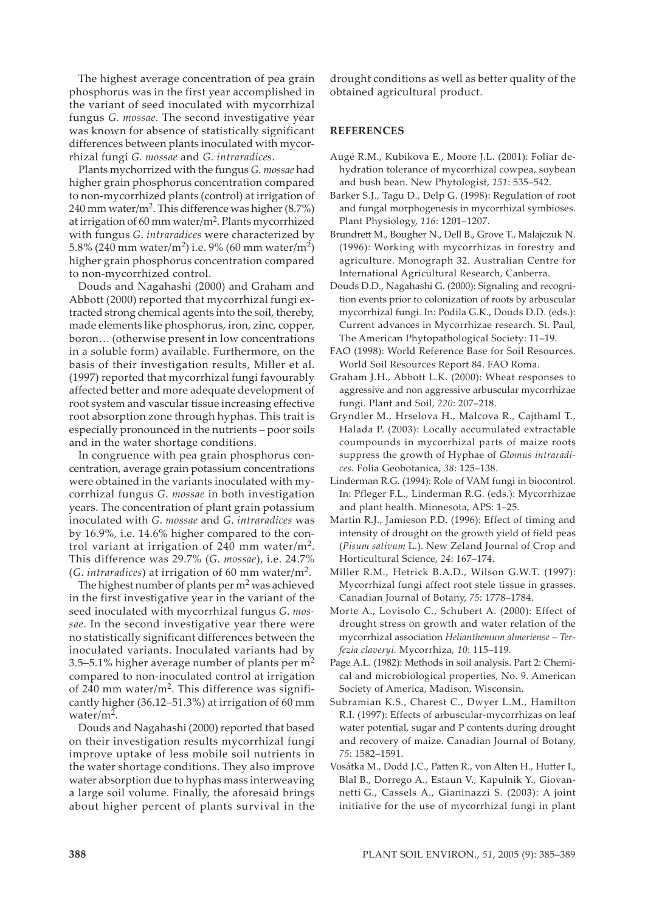The highest average concentration of pea grain phosphorus was in the first year accomplished in the variant of seed inoculated with mycorrhizal fungus *G. mossae*. The second investigative year was known for absence of statistically significant differences between plants inoculated with mycorrhizal fungi *G. mossae* and *G*. *intraradices*.

Plants mychorrized with the fungus *G. mossae* had higher grain phosphorus concentration compared to non-mycorrhized plants (control) at irrigation of 240 mm water/m<sup>2</sup>. This difference was higher  $(8.7\%)$ at irrigation of 60 mm water/m2. Plants mycorrhized with fungus *G*. *intraradices* were characterized by 5.8% (240 mm water/m<sup>2</sup>) i.e. 9% (60 mm water/m<sup>2</sup>) higher grain phosphorus concentration compared to non-mycorrhized control.

Douds and Nagahashi (2000) and Graham and Abbott (2000) reported that mycorrhizal fungi extracted strong chemical agents into the soil, thereby, made elements like phosphorus, iron, zinc, copper, boron… (otherwise present in low concentrations in a soluble form) available. Furthermore, on the basis of their investigation results, Miller et al. (1997) reported that mycorrhizal fungi favourably affected better and more adequate development of root system and vascular tissue increasing effective root absorption zone through hyphas. This trait is especially pronounced in the nutrients – poor soils and in the water shortage conditions.

In congruence with pea grain phosphorus concentration, average grain potassium concentrations were obtained in the variants inoculated with mycorrhizal fungus *G*. *mossae* in both investigation years. The concentration of plant grain potassium inoculated with *G*. *mossae* and *G*. *intraradices* was by 16.9%, i.e. 14.6% higher compared to the control variant at irrigation of 240 mm water/ $m<sup>2</sup>$ . This difference was 29.7% (*G*. *mossae*), i.e. 24.7% (*G*. *intraradices*) at irrigation of 60 mm water/m2.

The highest number of plants per  $m<sup>2</sup>$  was achieved in the first investigative year in the variant of the seed inoculated with mycorrhizal fungus *G*. *mossae*. In the second investigative year there were no statistically significant differences between the inoculated variants. Inoculated variants had by 3.5–5.1% higher average number of plants per  $m<sup>2</sup>$ compared to non-inoculated control at irrigation of 240 mm water/ $m^2$ . This difference was significantly higher (36.12–51.3%) at irrigation of 60 mm water/m2.

Douds and Nagahashi (2000) reported that based on their investigation results mycorrhizal fungi improve uptake of less mobile soil nutrients in the water shortage conditions. They also improve water absorption due to hyphas mass interweaving a large soil volume. Finally, the aforesaid brings about higher percent of plants survival in the drought conditions as well as better quality of the obtained agricultural product.

## **REFERENCES**

- Augé R.M., Kubikova E., Moore J.L. (2001): Foliar dehydration tolerance of mycorrhizal cowpea, soybean and bush bean. New Phytologist, *151*: 535–542.
- Barker S.J., Tagu D., Delp G. (1998): Regulation of root and fungal morphogenesis in mycorrhizal symbioses. Plant Physiology, *116*: 1201–1207.
- Brundrett M., Bougher N., Dell B., Grove T., Malajczuk N. (1996): Working with mycorrhizas in forestry and agriculture. Monograph 32. Australian Centre for International Agricultural Research, Canberra.
- Douds D.D., Nagahashi G. (2000): Signaling and recognition events prior to colonization of roots by arbuscular mycorrhizal fungi. In: Podila G.K., Douds D.D. (eds.): Current advances in Mycorrhizae research. St. Paul, The American Phytopathological Society: 11–19.
- FAO (1998): World Reference Base for Soil Resources. World Soil Resources Report 84. FAO Roma.
- Graham J.H., Abbott L.K. (2000): Wheat responses to aggressive and non aggressive arbuscular mycorrhizae fungi. Plant and Soil, *220*: 207–218.
- Gryndler M., Hrselova H., Malcova R., Cajthaml T., Halada P. (2003): Locally accumulated extractable coumpounds in mycorrhizal parts of maize roots suppress the growth of Hyphae of *Glomus intraradices.* Folia Geobotanica, *38*: 125–138.
- Linderman R.G. (1994): Role of VAM fungi in biocontrol. In: Pfleger F.L., Linderman R.G. (eds.): Mycorrhizae and plant health. Minnesota, APS: 1–25.
- Martin R.J., Jamieson P.D. (1996): Effect of timing and intensity of drought on the growth yield of field peas (*Pisum sativum* L.). New Zeland Journal of Crop and Horticultural Science, *24*: 167–174.
- Miller R.M., Hetrick B.A.D., Wilson G.W.T. (1997): Mycorrhizal fungi affect root stele tissue in grasses. Canadian Journal of Botany, *75*: 1778–1784.
- Morte A., Lovisolo C., Schubert A. (2000): Effect of drought stress on growth and water relation of the mycorrhizal association *Helianthemum almeriense* – *Terfezia claveryi.* Mycorrhiza*, 10*: 115–119*.*
- Page A.L. (1982): Methods in soil analysis. Part 2: Chemical and microbiological properties, No. 9. American Society of America, Madison, Wisconsin.
- Subramian K.S., Charest C., Dwyer L.M., Hamilton R.I. (1997): Effects of arbuscular-mycorrhizas on leaf water potential, sugar and P contents during drought and recovery of maize. Canadian Journal of Botany, *75*: 1582–1591.
- Vosátka M., Dodd J.C., Patten R., von Alten H., Hutter I., Blal B., Dorrego A., Estaun V., Kapulnik Y., Giovannetti G., Cassels A., Gianinazzi S. (2003): A joint initiative for the use of mycorrhizal fungi in plant